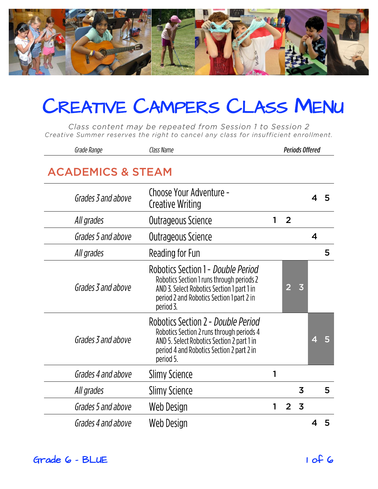

Class content may be repeated from Session 1 to Session 2 Creative Summer reserves the right to cancel any class for insufficient enrollment.

|                              | Grade Range        | Class Name                                                                                                                                                                              |   |                | <b>Periods Offered</b>  |                         |   |  |
|------------------------------|--------------------|-----------------------------------------------------------------------------------------------------------------------------------------------------------------------------------------|---|----------------|-------------------------|-------------------------|---|--|
| <b>ACADEMICS &amp; STEAM</b> |                    |                                                                                                                                                                                         |   |                |                         |                         |   |  |
|                              | Grades 3 and above | Choose Your Adventure -<br><b>Creative Writing</b>                                                                                                                                      |   |                |                         | 4                       | 5 |  |
|                              | All grades         | Outrageous Science                                                                                                                                                                      |   | $\overline{2}$ |                         |                         |   |  |
|                              | Grades 5 and above | Outrageous Science                                                                                                                                                                      |   |                |                         | $\overline{\mathbf{4}}$ |   |  |
|                              | All grades         | Reading for Fun                                                                                                                                                                         |   |                |                         |                         | 5 |  |
|                              | Grades 3 and above | Robotics Section 1 - Double Period<br>Robotics Section 1 runs through periods 2<br>AND 3. Select Robotics Section 1 part 1 in<br>period 2 and Robotics Section 1 part 2 in<br>period 3. |   | 2              | $\overline{\mathbf{3}}$ |                         |   |  |
|                              | Grades 3 and above | Robotics Section 2 - Double Period<br>Robotics Section 2 runs through periods 4<br>AND 5. Select Robotics Section 2 part 1 in<br>period 4 and Robotics Section 2 part 2 in<br>period 5. |   |                |                         | 4                       | 5 |  |
|                              | Grades 4 and above | Slimy Science                                                                                                                                                                           | 1 |                |                         |                         |   |  |
|                              | All grades         | Slimy Science                                                                                                                                                                           |   |                | 3                       |                         | 5 |  |
|                              | Grades 5 and above | Web Design                                                                                                                                                                              | 1 | $\overline{2}$ | $\overline{3}$          |                         |   |  |
|                              | Grades 4 and above | Web Design                                                                                                                                                                              |   |                |                         |                         | 5 |  |

Grade 6 - BLUE 1 of 6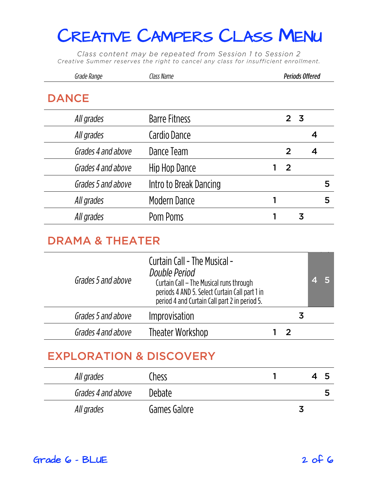Class content may be repeated from Session 1 to Session 2 Creative Summer reserves the right to cancel any class for insufficient enrollment.

| Grade Range        | Class Name             |    | <b>Periods Offered</b> |   |   |   |
|--------------------|------------------------|----|------------------------|---|---|---|
| <b>DANCE</b>       |                        |    |                        |   |   |   |
| All grades         | <b>Barre Fitness</b>   |    | 2 <sub>3</sub>         |   |   |   |
| All grades         | Cardio Dance           |    |                        |   | 4 |   |
| Grades 4 and above | Dance Team             |    | $\overline{2}$         |   | 4 |   |
| Grades 4 and above | Hip Hop Dance          | 1. | $\overline{2}$         |   |   |   |
| Grades 5 and above | Intro to Break Dancing |    |                        |   |   | 5 |
| All grades         | <b>Modern Dance</b>    |    |                        |   |   | 5 |
| All grades         | Pom Poms               |    |                        | 3 |   |   |
|                    |                        |    |                        |   |   |   |

#### **DRAMA & THEATER**

| Grades 5 and above | <b>Curtain Call - The Musical -</b><br>Double Period<br>Curtain Call - The Musical runs through<br>periods 4 AND 5. Select Curtain Call part 1 in<br>period 4 and Curtain Call part 2 in period 5. |  |    |  |
|--------------------|----------------------------------------------------------------------------------------------------------------------------------------------------------------------------------------------------|--|----|--|
| Grades 5 and above | Improvisation                                                                                                                                                                                      |  | .S |  |
| Grades 4 and above | Theater Workshop                                                                                                                                                                                   |  |    |  |
|                    |                                                                                                                                                                                                    |  |    |  |

# **EXPLORATION & DISCOVERY AND LOCAL CONTRACTOR**

| All grades         | Chess         |  | כ |
|--------------------|---------------|--|---|
| Grades 4 and above | <b>Debate</b> |  | כ |
| All grades         | Games Galore  |  |   |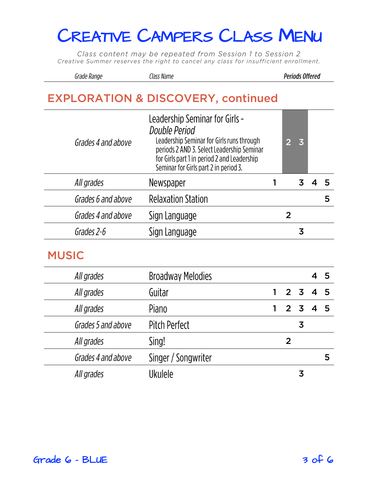Class content may be repeated from Session 1 to Session 2 Creative Summer reserves the right to cancel any class for insufficient enrollment.

| Grade Range | Class Name |  |
|-------------|------------|--|
|             |            |  |

**Periods Offered** 

### **EXPLORATION & DISCOVERY, continued**

| Grades 4 and above | Leadership Seminar for Girls -<br>Double Period<br>Leadership Seminar for Girls runs through<br>periods 2 AND 3. Select Leadership Seminar<br>for Girls part 1 in period 2 and Leadership<br>Seminar for Girls part 2 in period 3. |   | $\overline{\mathbf{3}}$ |   |
|--------------------|------------------------------------------------------------------------------------------------------------------------------------------------------------------------------------------------------------------------------------|---|-------------------------|---|
| All grades         | Newspaper                                                                                                                                                                                                                          |   |                         |   |
| Grades 6 and above | <b>Relaxation Station</b>                                                                                                                                                                                                          |   |                         | 5 |
| Grades 4 and above | Sign Language                                                                                                                                                                                                                      | 2 |                         |   |
| Grades 2-6         | Sign Language                                                                                                                                                                                                                      |   | 3                       |   |
|                    |                                                                                                                                                                                                                                    |   |                         |   |

#### **MUSIC**

| All grades         | <b>Broadway Melodies</b> |                  |         | 45 |   |
|--------------------|--------------------------|------------------|---------|----|---|
| All grades         | Guitar                   |                  | 2 3 4 5 |    |   |
| All grades         | Piano                    | $2 \overline{3}$ |         | 4  |   |
| Grades 5 and above | <b>Pitch Perfect</b>     |                  | 3       |    |   |
| All grades         | Sing!                    | 2                |         |    |   |
| Grades 4 and above | Singer / Songwriter      |                  |         |    | 5 |
| All grades         | <b>Ukulele</b>           |                  | 3       |    |   |
|                    |                          |                  |         |    |   |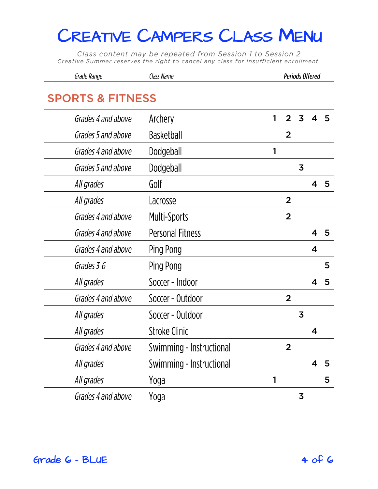Class content may be repeated from Session 1 to Session 2 Creative Summer reserves the right to cancel any class for insufficient enrollment.

| Grade Range                 | Class Name               |   | <b>Periods Offered</b> |                         |   |                 |
|-----------------------------|--------------------------|---|------------------------|-------------------------|---|-----------------|
| <b>SPORTS &amp; FITNESS</b> |                          |   |                        |                         |   |                 |
| Grades 4 and above          | Archery                  | 1 | 2                      | 3                       | 4 | 5               |
| Grades 5 and above          | <b>Basketball</b>        |   | $\overline{2}$         |                         |   |                 |
| Grades 4 and above          | Dodgeball                | 1 |                        |                         |   |                 |
| Grades 5 and above          | Dodgeball                |   |                        | 3                       |   |                 |
| All grades                  | Golf                     |   |                        |                         | 4 | 5               |
| All grades                  | Lacrosse                 |   | $\overline{2}$         |                         |   |                 |
| Grades 4 and above          | Multi-Sports             |   | $\overline{2}$         |                         |   |                 |
| Grades 4 and above          | <b>Personal Fitness</b>  |   |                        |                         | 4 | 5               |
| Grades 4 and above          | Ping Pong                |   |                        |                         | 4 |                 |
| Grades 3-6                  | Ping Pong                |   |                        |                         |   | 5               |
| All grades                  | Soccer - Indoor          |   |                        |                         | 4 | 5               |
| Grades 4 and above          | Soccer - Outdoor         |   | $\overline{2}$         |                         |   |                 |
| All grades                  | Soccer - Outdoor         |   |                        | 3                       |   |                 |
| All grades                  | <b>Stroke Clinic</b>     |   |                        |                         | 4 |                 |
| Grades 4 and above          | Swimming - Instructional |   | $\overline{2}$         |                         |   |                 |
| All grades                  | Swimming - Instructional |   |                        |                         | 4 | $5\overline{5}$ |
| All grades                  | Yoga                     | 1 |                        |                         |   | 5               |
| Grades 4 and above          | Yoga                     |   |                        | $\overline{\mathbf{3}}$ |   |                 |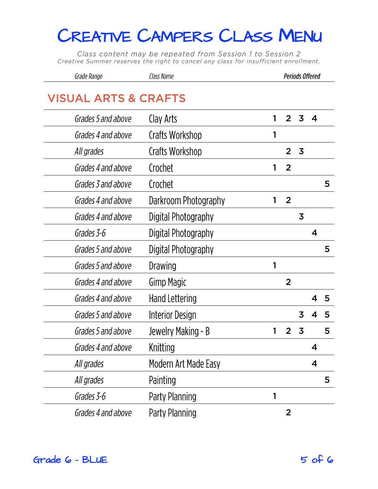Class content may be repeated from Session 1 to Session 2 Creative Summer reserves the right to cancel any class for insufficient enrollment.

| Grade Range | Class Name | <b>Periods Offered</b> |
|-------------|------------|------------------------|
|-------------|------------|------------------------|

| Grades 5 and above | Clay Arts              | 1 | 2              | 3                       | 4                       |   |
|--------------------|------------------------|---|----------------|-------------------------|-------------------------|---|
| Grades 4 and above | Crafts Workshop        | 1 |                |                         |                         |   |
| All grades         | Crafts Workshop        |   | $\overline{2}$ | $\overline{\mathbf{3}}$ |                         |   |
| Grades 4 and above | Crochet                | 1 | $\overline{2}$ |                         |                         |   |
| Grades 3 and above | Crochet                |   |                |                         |                         | 5 |
| Grades 4 and above | Darkroom Photography   | 1 | $\overline{2}$ |                         |                         |   |
| Grades 4 and above | Digital Photography    |   |                | 3                       |                         |   |
| Grades 3-6         | Digital Photography    |   |                |                         | $\overline{\mathbf{4}}$ |   |
| Grades 5 and above | Digital Photography    |   |                |                         |                         | 5 |
| Grades 5 and above | Drawing                | 1 |                |                         |                         |   |
| Grades 4 and above | <b>Gimp Magic</b>      |   | $\overline{2}$ |                         |                         |   |
| Grades 4 and above | <b>Hand Lettering</b>  |   |                |                         | 4                       | 5 |
| Grades 5 and above | <b>Interior Design</b> |   |                | 3                       | 4                       | 5 |
| Grades 5 and above | Jewelry Making - B     | 1 | $\overline{2}$ | $\overline{\mathbf{3}}$ |                         | 5 |
| Grades 4 and above | Knitting               |   |                |                         | 4                       |   |
| All grades         | Modern Art Made Easy   |   |                |                         | 4                       |   |
| All grades         | Painting               |   |                |                         |                         | 5 |
| Grades 3-6         | Party Planning         | 1 |                |                         |                         |   |
| Grades 4 and above | Party Planning         |   | $\overline{2}$ |                         |                         |   |
|                    |                        |   |                |                         |                         |   |

 $Grade$  6 - BLUE  $5$  of 6